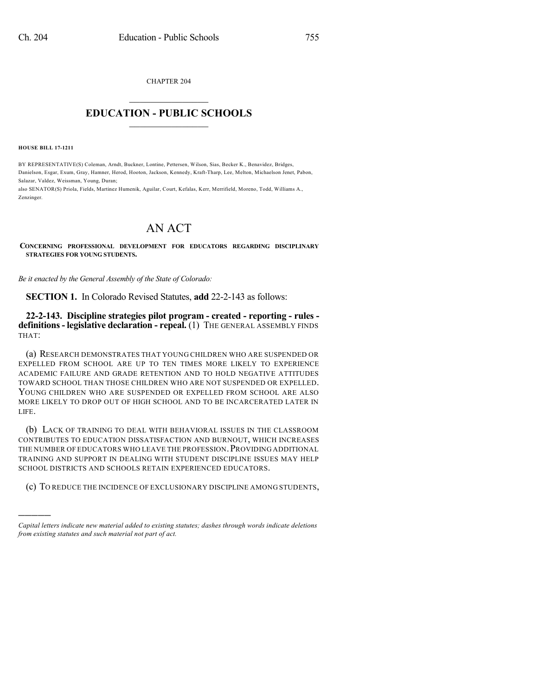CHAPTER 204

## $\mathcal{L}_\text{max}$  . The set of the set of the set of the set of the set of the set of the set of the set of the set of the set of the set of the set of the set of the set of the set of the set of the set of the set of the set **EDUCATION - PUBLIC SCHOOLS**  $\_$   $\_$   $\_$   $\_$   $\_$   $\_$   $\_$   $\_$   $\_$

**HOUSE BILL 17-1211**

)))))

BY REPRESENTATIVE(S) Coleman, Arndt, Buckner, Lontine, Pettersen, Wilson, Sias, Becker K., Benavidez, Bridges, Danielson, Esgar, Exum, Gray, Hamner, Herod, Hooton, Jackson, Kennedy, Kraft-Tharp, Lee, Melton, Michaelson Jenet, Pabon, Salazar, Valdez, Weissman, Young, Duran;

also SENATOR(S) Priola, Fields, Martinez Humenik, Aguilar, Court, Kefalas, Kerr, Merrifield, Moreno, Todd, Williams A., Zenzinger.

## AN ACT

**CONCERNING PROFESSIONAL DEVELOPMENT FOR EDUCATORS REGARDING DISCIPLINARY STRATEGIES FOR YOUNG STUDENTS.**

*Be it enacted by the General Assembly of the State of Colorado:*

**SECTION 1.** In Colorado Revised Statutes, **add** 22-2-143 as follows:

**22-2-143. Discipline strategies pilot program - created - reporting - rules definitions- legislative declaration - repeal.** (1) THE GENERAL ASSEMBLY FINDS THAT:

(a) RESEARCH DEMONSTRATES THAT YOUNG CHILDREN WHO ARE SUSPENDED OR EXPELLED FROM SCHOOL ARE UP TO TEN TIMES MORE LIKELY TO EXPERIENCE ACADEMIC FAILURE AND GRADE RETENTION AND TO HOLD NEGATIVE ATTITUDES TOWARD SCHOOL THAN THOSE CHILDREN WHO ARE NOT SUSPENDED OR EXPELLED. YOUNG CHILDREN WHO ARE SUSPENDED OR EXPELLED FROM SCHOOL ARE ALSO MORE LIKELY TO DROP OUT OF HIGH SCHOOL AND TO BE INCARCERATED LATER IN LIFE.

(b) LACK OF TRAINING TO DEAL WITH BEHAVIORAL ISSUES IN THE CLASSROOM CONTRIBUTES TO EDUCATION DISSATISFACTION AND BURNOUT, WHICH INCREASES THE NUMBER OF EDUCATORS WHO LEAVE THE PROFESSION. PROVIDING ADDITIONAL TRAINING AND SUPPORT IN DEALING WITH STUDENT DISCIPLINE ISSUES MAY HELP SCHOOL DISTRICTS AND SCHOOLS RETAIN EXPERIENCED EDUCATORS.

(c) TO REDUCE THE INCIDENCE OF EXCLUSIONARY DISCIPLINE AMONG STUDENTS,

*Capital letters indicate new material added to existing statutes; dashes through words indicate deletions from existing statutes and such material not part of act.*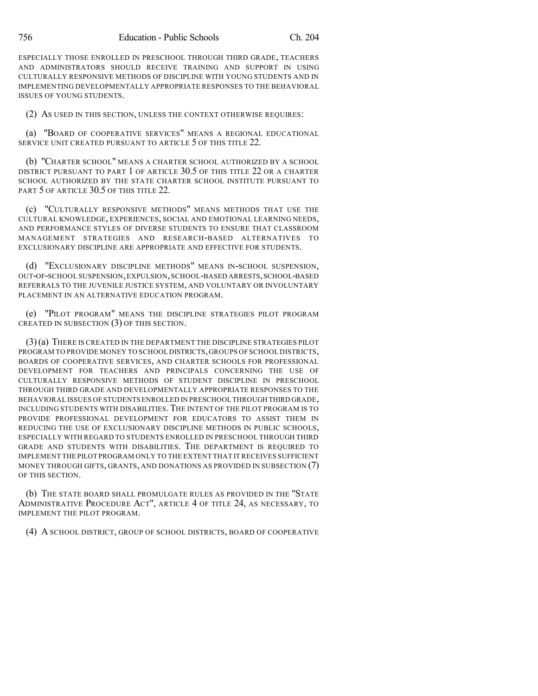ESPECIALLY THOSE ENROLLED IN PRESCHOOL THROUGH THIRD GRADE, TEACHERS AND ADMINISTRATORS SHOULD RECEIVE TRAINING AND SUPPORT IN USING CULTURALLY RESPONSIVE METHODS OF DISCIPLINE WITH YOUNG STUDENTS AND IN IMPLEMENTING DEVELOPMENTALLY APPROPRIATE RESPONSES TO THE BEHAVIORAL ISSUES OF YOUNG STUDENTS.

(2) AS USED IN THIS SECTION, UNLESS THE CONTEXT OTHERWISE REQUIRES:

(a) "BOARD OF COOPERATIVE SERVICES" MEANS A REGIONAL EDUCATIONAL SERVICE UNIT CREATED PURSUANT TO ARTICLE 5 OF THIS TITLE 22.

(b) "CHARTER SCHOOL" MEANS A CHARTER SCHOOL AUTHORIZED BY A SCHOOL DISTRICT PURSUANT TO PART 1 OF ARTICLE 30.5 OF THIS TITLE 22 OR A CHARTER SCHOOL AUTHORIZED BY THE STATE CHARTER SCHOOL INSTITUTE PURSUANT TO PART 5 OF ARTICLE 30.5 OF THIS TITLE 22.

(c) "CULTURALLY RESPONSIVE METHODS" MEANS METHODS THAT USE THE CULTURAL KNOWLEDGE, EXPERIENCES, SOCIAL AND EMOTIONAL LEARNING NEEDS, AND PERFORMANCE STYLES OF DIVERSE STUDENTS TO ENSURE THAT CLASSROOM MANAGEMENT STRATEGIES AND RESEARCH-BASED ALTERNATIVES TO EXCLUSIONARY DISCIPLINE ARE APPROPRIATE AND EFFECTIVE FOR STUDENTS.

(d) "EXCLUSIONARY DISCIPLINE METHODS" MEANS IN-SCHOOL SUSPENSION, OUT-OF-SCHOOL SUSPENSION,EXPULSION,SCHOOL-BASED ARRESTS,SCHOOL-BASED REFERRALS TO THE JUVENILE JUSTICE SYSTEM, AND VOLUNTARY OR INVOLUNTARY PLACEMENT IN AN ALTERNATIVE EDUCATION PROGRAM.

(e) "PILOT PROGRAM" MEANS THE DISCIPLINE STRATEGIES PILOT PROGRAM CREATED IN SUBSECTION (3) OF THIS SECTION.

(3)(a) THERE IS CREATED IN THE DEPARTMENT THE DISCIPLINE STRATEGIES PILOT PROGRAM TO PROVIDE MONEY TO SCHOOL DISTRICTS, GROUPS OF SCHOOL DISTRICTS, BOARDS OF COOPERATIVE SERVICES, AND CHARTER SCHOOLS FOR PROFESSIONAL DEVELOPMENT FOR TEACHERS AND PRINCIPALS CONCERNING THE USE OF CULTURALLY RESPONSIVE METHODS OF STUDENT DISCIPLINE IN PRESCHOOL THROUGH THIRD GRADE AND DEVELOPMENTALLY APPROPRIATE RESPONSES TO THE BEHAVIORAL ISSUES OF STUDENTS ENROLLED IN PRESCHOOL THROUGH THIRD GRADE, INCLUDING STUDENTS WITH DISABILITIES.THE INTENT OF THE PILOT PROGRAM IS TO PROVIDE PROFESSIONAL DEVELOPMENT FOR EDUCATORS TO ASSIST THEM IN REDUCING THE USE OF EXCLUSIONARY DISCIPLINE METHODS IN PUBLIC SCHOOLS, ESPECIALLY WITH REGARD TO STUDENTS ENROLLED IN PRESCHOOL THROUGH THIRD GRADE AND STUDENTS WITH DISABILITIES. THE DEPARTMENT IS REQUIRED TO IMPLEMENT THE PILOT PROGRAM ONLY TO THE EXTENT THAT IT RECEIVES SUFFICIENT MONEY THROUGH GIFTS, GRANTS, AND DONATIONS AS PROVIDED IN SUBSECTION (7) OF THIS SECTION.

(b) THE STATE BOARD SHALL PROMULGATE RULES AS PROVIDED IN THE "STATE ADMINISTRATIVE PROCEDURE ACT", ARTICLE 4 OF TITLE 24, AS NECESSARY, TO IMPLEMENT THE PILOT PROGRAM.

(4) A SCHOOL DISTRICT, GROUP OF SCHOOL DISTRICTS, BOARD OF COOPERATIVE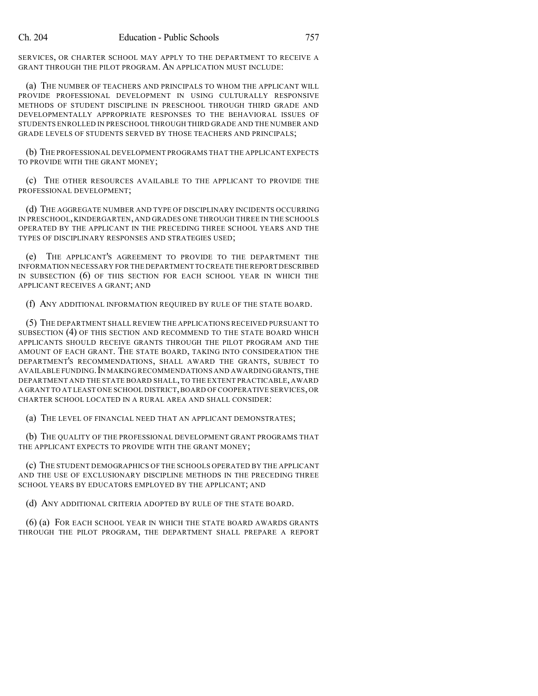SERVICES, OR CHARTER SCHOOL MAY APPLY TO THE DEPARTMENT TO RECEIVE A GRANT THROUGH THE PILOT PROGRAM. AN APPLICATION MUST INCLUDE:

(a) THE NUMBER OF TEACHERS AND PRINCIPALS TO WHOM THE APPLICANT WILL PROVIDE PROFESSIONAL DEVELOPMENT IN USING CULTURALLY RESPONSIVE METHODS OF STUDENT DISCIPLINE IN PRESCHOOL THROUGH THIRD GRADE AND DEVELOPMENTALLY APPROPRIATE RESPONSES TO THE BEHAVIORAL ISSUES OF STUDENTS ENROLLED IN PRESCHOOL THROUGH THIRD GRADE AND THE NUMBER AND GRADE LEVELS OF STUDENTS SERVED BY THOSE TEACHERS AND PRINCIPALS;

(b) THE PROFESSIONAL DEVELOPMENT PROGRAMS THAT THE APPLICANT EXPECTS TO PROVIDE WITH THE GRANT MONEY;

(c) THE OTHER RESOURCES AVAILABLE TO THE APPLICANT TO PROVIDE THE PROFESSIONAL DEVELOPMENT;

(d) THE AGGREGATE NUMBER AND TYPE OF DISCIPLINARY INCIDENTS OCCURRING IN PRESCHOOL, KINDERGARTEN, AND GRADES ONE THROUGH THREE IN THE SCHOOLS OPERATED BY THE APPLICANT IN THE PRECEDING THREE SCHOOL YEARS AND THE TYPES OF DISCIPLINARY RESPONSES AND STRATEGIES USED;

(e) THE APPLICANT'S AGREEMENT TO PROVIDE TO THE DEPARTMENT THE INFORMATION NECESSARY FOR THE DEPARTMENT TO CREATE THE REPORT DESCRIBED IN SUBSECTION (6) OF THIS SECTION FOR EACH SCHOOL YEAR IN WHICH THE APPLICANT RECEIVES A GRANT; AND

(f) ANY ADDITIONAL INFORMATION REQUIRED BY RULE OF THE STATE BOARD.

(5) THE DEPARTMENT SHALL REVIEW THE APPLICATIONS RECEIVED PURSUANT TO SUBSECTION (4) OF THIS SECTION AND RECOMMEND TO THE STATE BOARD WHICH APPLICANTS SHOULD RECEIVE GRANTS THROUGH THE PILOT PROGRAM AND THE AMOUNT OF EACH GRANT. THE STATE BOARD, TAKING INTO CONSIDERATION THE DEPARTMENT'S RECOMMENDATIONS, SHALL AWARD THE GRANTS, SUBJECT TO AVAILABLE FUNDING. IN MAKING RECOMMENDATIONS AND AWARDING GRANTS, THE DEPARTMENT AND THE STATE BOARD SHALL, TO THE EXTENT PRACTICABLE, AWARD A GRANT TO AT LEAST ONE SCHOOL DISTRICT,BOARD OF COOPERATIVE SERVICES, OR CHARTER SCHOOL LOCATED IN A RURAL AREA AND SHALL CONSIDER:

(a) THE LEVEL OF FINANCIAL NEED THAT AN APPLICANT DEMONSTRATES;

(b) THE QUALITY OF THE PROFESSIONAL DEVELOPMENT GRANT PROGRAMS THAT THE APPLICANT EXPECTS TO PROVIDE WITH THE GRANT MONEY;

(c) THE STUDENT DEMOGRAPHICS OF THE SCHOOLS OPERATED BY THE APPLICANT AND THE USE OF EXCLUSIONARY DISCIPLINE METHODS IN THE PRECEDING THREE SCHOOL YEARS BY EDUCATORS EMPLOYED BY THE APPLICANT; AND

(d) ANY ADDITIONAL CRITERIA ADOPTED BY RULE OF THE STATE BOARD.

(6) (a) FOR EACH SCHOOL YEAR IN WHICH THE STATE BOARD AWARDS GRANTS THROUGH THE PILOT PROGRAM, THE DEPARTMENT SHALL PREPARE A REPORT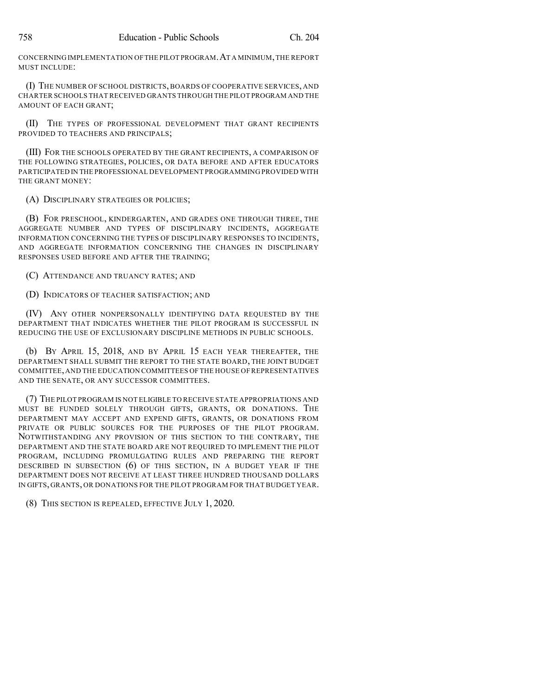CONCERNING IMPLEMENTATION OFTHE PILOT PROGRAM.AT A MINIMUM,THE REPORT MUST INCLUDE:

(I) THE NUMBER OF SCHOOL DISTRICTS, BOARDS OF COOPERATIVE SERVICES, AND CHARTER SCHOOLS THAT RECEIVED GRANTS THROUGH THE PILOT PROGRAM AND THE AMOUNT OF EACH GRANT;

(II) THE TYPES OF PROFESSIONAL DEVELOPMENT THAT GRANT RECIPIENTS PROVIDED TO TEACHERS AND PRINCIPALS;

(III) FOR THE SCHOOLS OPERATED BY THE GRANT RECIPIENTS, A COMPARISON OF THE FOLLOWING STRATEGIES, POLICIES, OR DATA BEFORE AND AFTER EDUCATORS PARTICIPATED IN THE PROFESSIONAL DEVELOPMENT PROGRAMMING PROVIDED WITH THE GRANT MONEY:

(A) DISCIPLINARY STRATEGIES OR POLICIES;

(B) FOR PRESCHOOL, KINDERGARTEN, AND GRADES ONE THROUGH THREE, THE AGGREGATE NUMBER AND TYPES OF DISCIPLINARY INCIDENTS, AGGREGATE INFORMATION CONCERNING THE TYPES OF DISCIPLINARY RESPONSES TO INCIDENTS, AND AGGREGATE INFORMATION CONCERNING THE CHANGES IN DISCIPLINARY RESPONSES USED BEFORE AND AFTER THE TRAINING;

(C) ATTENDANCE AND TRUANCY RATES; AND

(D) INDICATORS OF TEACHER SATISFACTION; AND

(IV) ANY OTHER NONPERSONALLY IDENTIFYING DATA REQUESTED BY THE DEPARTMENT THAT INDICATES WHETHER THE PILOT PROGRAM IS SUCCESSFUL IN REDUCING THE USE OF EXCLUSIONARY DISCIPLINE METHODS IN PUBLIC SCHOOLS.

(b) BY APRIL 15, 2018, AND BY APRIL 15 EACH YEAR THEREAFTER, THE DEPARTMENT SHALL SUBMIT THE REPORT TO THE STATE BOARD, THE JOINT BUDGET COMMITTEE,AND THE EDUCATION COMMITTEES OFTHE HOUSE OF REPRESENTATIVES AND THE SENATE, OR ANY SUCCESSOR COMMITTEES.

(7) THE PILOT PROGRAM IS NOT ELIGIBLE TO RECEIVE STATE APPROPRIATIONS AND MUST BE FUNDED SOLELY THROUGH GIFTS, GRANTS, OR DONATIONS. THE DEPARTMENT MAY ACCEPT AND EXPEND GIFTS, GRANTS, OR DONATIONS FROM PRIVATE OR PUBLIC SOURCES FOR THE PURPOSES OF THE PILOT PROGRAM. NOTWITHSTANDING ANY PROVISION OF THIS SECTION TO THE CONTRARY, THE DEPARTMENT AND THE STATE BOARD ARE NOT REQUIRED TO IMPLEMENT THE PILOT PROGRAM, INCLUDING PROMULGATING RULES AND PREPARING THE REPORT DESCRIBED IN SUBSECTION (6) OF THIS SECTION, IN A BUDGET YEAR IF THE DEPARTMENT DOES NOT RECEIVE AT LEAST THREE HUNDRED THOUSAND DOLLARS IN GIFTS, GRANTS, OR DONATIONS FOR THE PILOT PROGRAM FOR THAT BUDGET YEAR.

(8) THIS SECTION IS REPEALED, EFFECTIVE JULY 1, 2020.